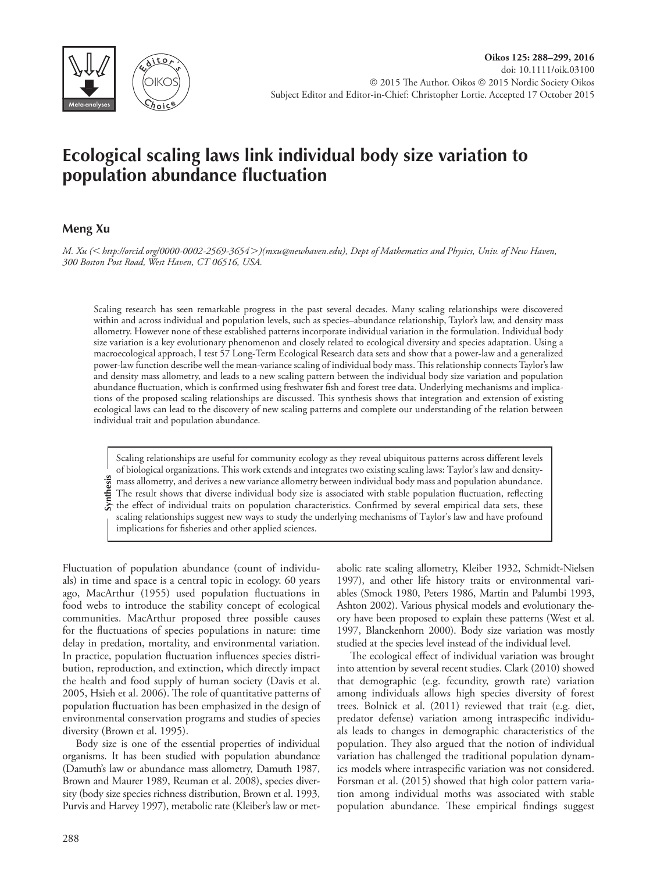

# **Ecological scaling laws link individual body size variation to population abundance fluctuation**

## **Meng Xu**

*M. Xu (http://orcid.org/0000-0002-2569-3654)(mxu@newhaven.edu), Dept of Mathematics and Physics, Univ. of New Haven, 300 Boston Post Road, West Haven, CT 06516, USA.*

Scaling research has seen remarkable progress in the past several decades. Many scaling relationships were discovered within and across individual and population levels, such as species–abundance relationship, Taylor's law, and density mass allometry. However none of these established patterns incorporate individual variation in the formulation. Individual body size variation is a key evolutionary phenomenon and closely related to ecological diversity and species adaptation. Using a macroecological approach, I test 57 Long-Term Ecological Research data sets and show that a power-law and a generalized power-law function describe well the mean-variance scaling of individual body mass. This relationship connects Taylor's law and density mass allometry, and leads to a new scaling pattern between the individual body size variation and population abundance fluctuation, which is confirmed using freshwater fish and forest tree data. Underlying mechanisms and implications of the proposed scaling relationships are discussed. This synthesis shows that integration and extension of existing ecological laws can lead to the discovery of new scaling patterns and complete our understanding of the relation between individual trait and population abundance.

Scaling relationships are useful for community ecology as they reveal ubiquitous patterns across different levels of biological organizations. This work extends and integrates two existing scaling laws: Taylor's law and densitymass allometry, and derives a new variance allometry between individual body mass and population abundance. The result shows that diverse individual body size is associated with stable population fluctuation, reflecting the effect of individual traits on population characteristics. Confirmed by several empirical data sets, these scaling relationships suggest new ways to study the underlying mechanisms of Taylor's law and have profound implications for fisheries and other applied sciences. **Synthesis**

Fluctuation of population abundance (count of individuals) in time and space is a central topic in ecology. 60 years ago, MacArthur (1955) used population fluctuations in food webs to introduce the stability concept of ecological communities. MacArthur proposed three possible causes for the fluctuations of species populations in nature: time delay in predation, mortality, and environmental variation. In practice, population fluctuation influences species distribution, reproduction, and extinction, which directly impact the health and food supply of human society (Davis et al. 2005, Hsieh et al. 2006). The role of quantitative patterns of population fluctuation has been emphasized in the design of environmental conservation programs and studies of species diversity (Brown et al. 1995).

Body size is one of the essential properties of individual organisms. It has been studied with population abundance (Damuth's law or abundance mass allometry, Damuth 1987, Brown and Maurer 1989, Reuman et al. 2008), species diversity (body size species richness distribution, Brown et al. 1993, Purvis and Harvey 1997), metabolic rate (Kleiber's law or metabolic rate scaling allometry, Kleiber 1932, Schmidt-Nielsen 1997), and other life history traits or environmental variables (Smock 1980, Peters 1986, Martin and Palumbi 1993, Ashton 2002). Various physical models and evolutionary theory have been proposed to explain these patterns (West et al. 1997, Blanckenhorn 2000). Body size variation was mostly studied at the species level instead of the individual level.

The ecological effect of individual variation was brought into attention by several recent studies. Clark (2010) showed that demographic (e.g. fecundity, growth rate) variation among individuals allows high species diversity of forest trees. Bolnick et al. (2011) reviewed that trait (e.g. diet, predator defense) variation among intraspecific individuals leads to changes in demographic characteristics of the population. They also argued that the notion of individual variation has challenged the traditional population dynamics models where intraspecific variation was not considered. Forsman et al. (2015) showed that high color pattern variation among individual moths was associated with stable population abundance. These empirical findings suggest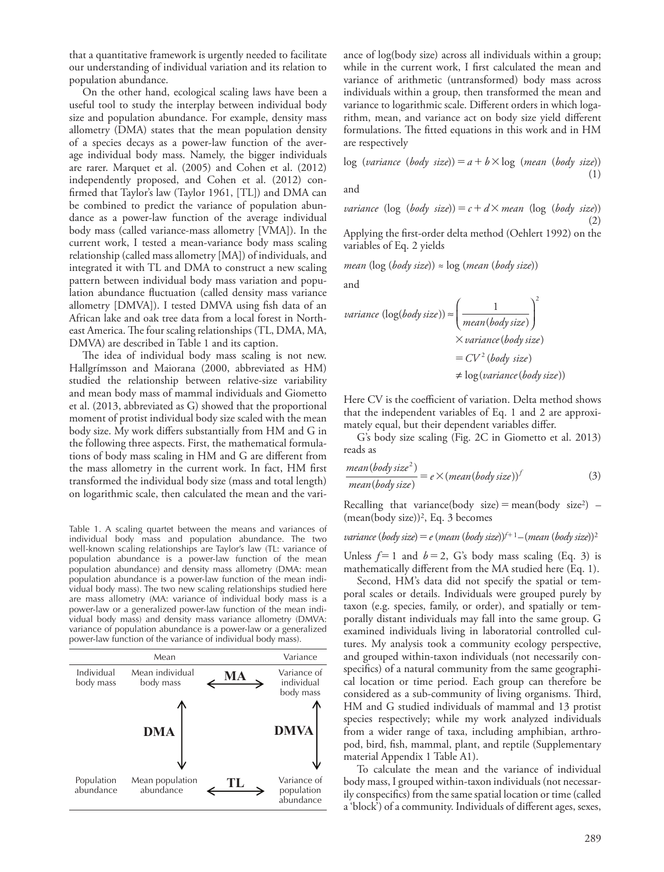that a quantitative framework is urgently needed to facilitate our understanding of individual variation and its relation to population abundance.

On the other hand, ecological scaling laws have been a useful tool to study the interplay between individual body size and population abundance. For example, density mass allometry (DMA) states that the mean population density of a species decays as a power-law function of the average individual body mass. Namely, the bigger individuals are rarer. Marquet et al. (2005) and Cohen et al. (2012) independently proposed, and Cohen et al. (2012) confirmed that Taylor's law (Taylor 1961, [TL]) and DMA can be combined to predict the variance of population abundance as a power-law function of the average individual body mass (called variance-mass allometry [VMA]). In the current work, I tested a mean-variance body mass scaling relationship (called mass allometry [MA]) of individuals, and integrated it with TL and DMA to construct a new scaling pattern between individual body mass variation and population abundance fluctuation (called density mass variance allometry [DMVA]). I tested DMVA using fish data of an African lake and oak tree data from a local forest in Northeast America. The four scaling relationships (TL, DMA, MA, DMVA) are described in Table 1 and its caption.

The idea of individual body mass scaling is not new. Hallgrímsson and Maiorana (2000, abbreviated as HM) studied the relationship between relative-size variability and mean body mass of mammal individuals and Giometto et al. (2013, abbreviated as G) showed that the proportional moment of protist individual body size scaled with the mean body size. My work differs substantially from HM and G in the following three aspects. First, the mathematical formulations of body mass scaling in HM and G are different from the mass allometry in the current work. In fact, HM first transformed the individual body size (mass and total length) on logarithmic scale, then calculated the mean and the vari-

Table 1. A scaling quartet between the means and variances of individual body mass and population abundance. The two well-known scaling relationships are Taylor's law (TL: variance of population abundance is a power-law function of the mean population abundance) and density mass allometry (DMA: mean population abundance is a power-law function of the mean individual body mass). The two new scaling relationships studied here are mass allometry (MA: variance of individual body mass is a power-law or a generalized power-law function of the mean individual body mass) and density mass variance allometry (DMVA: variance of population abundance is a power-law or a generalized power-law function of the variance of individual body mass).



ance of log(body size) across all individuals within a group; while in the current work, I first calculated the mean and variance of arithmetic (untransformed) body mass across individuals within a group, then transformed the mean and variance to logarithmic scale. Different orders in which logarithm, mean, and variance act on body size yield different formulations. The fitted equations in this work and in HM are respectively

 $log (variance (body size)) = a + b \times log (mean (body size))$ (1)

and

*variance* (log (*body size*)) =  $c + d \times$  *mean* (log (*body size*)) (2) Applying the first-order delta method (Oehlert 1992) on the variables of Eq. 2 yields

*mean* (log (*body size*)) ≈ log (*mean* (*body size*))

and

\n
$$
\text{variance } (\log(\text{body size})) \approx \left( \frac{1}{\text{mean}(\text{body size})} \right)^2
$$
\n

\n\n $\times \text{variance}(\text{body size})$ \n

\n\n $= CV^2(\text{body size})$ \n

\n\n $\neq \log(\text{variance}(\text{body size}))$ \n

Here CV is the coefficient of variation. Delta method shows that the independent variables of Eq. 1 and 2 are approximately equal, but their dependent variables differ.

G's body size scaling (Fig. 2C in Giometto et al. 2013) reads as

$$
\frac{mean(body size^2)}{mean(body size)} = e \times (mean(body size))^f
$$
\n(3)

Recalling that variance(body size) = mean(body size<sup>2</sup>) –  $(\text{mean}(\text{body size}))^2$ , Eq. 3 becomes

*variance* (*body size*) = *e* (*mean* (*body size*))<sup> $f+1$ </sup> – (*mean* (*body size*))<sup>2</sup>

Unless  $f=1$  and  $b=2$ , G's body mass scaling (Eq. 3) is mathematically different from the MA studied here (Eq. 1).

Second, HM's data did not specify the spatial or temporal scales or details. Individuals were grouped purely by taxon (e.g. species, family, or order), and spatially or temporally distant individuals may fall into the same group. G examined individuals living in laboratorial controlled cultures. My analysis took a community ecology perspective, and grouped within-taxon individuals (not necessarily conspecifics) of a natural community from the same geographical location or time period. Each group can therefore be considered as a sub-community of living organisms. Third, HM and G studied individuals of mammal and 13 protist species respectively; while my work analyzed individuals from a wider range of taxa, including amphibian, arthropod, bird, fish, mammal, plant, and reptile (Supplementary material Appendix 1 Table A1).

To calculate the mean and the variance of individual body mass, I grouped within-taxon individuals (not necessarily conspecifics) from the same spatial location or time (called a 'block') of a community. Individuals of different ages, sexes,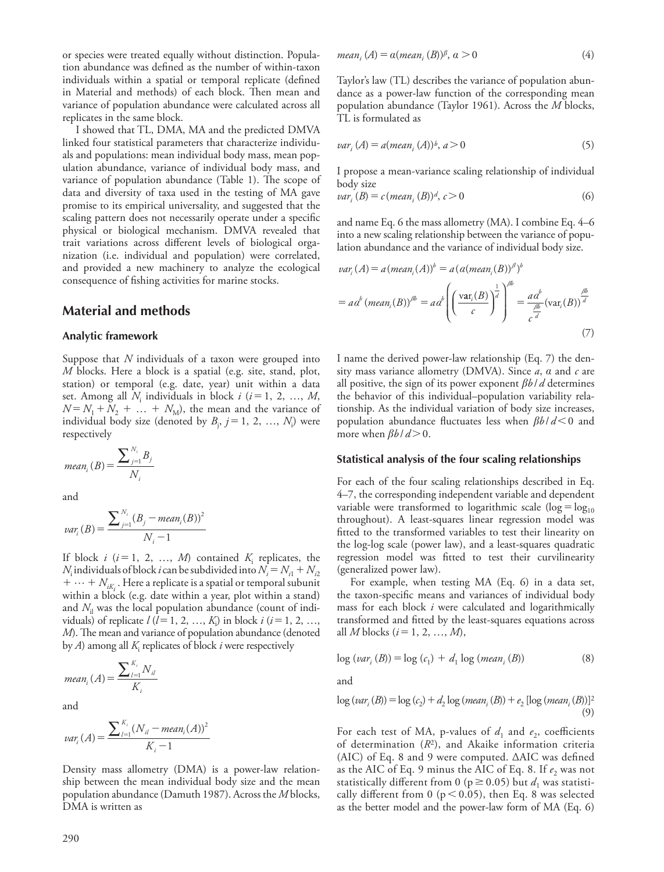or species were treated equally without distinction. Population abundance was defined as the number of within-taxon individuals within a spatial or temporal replicate (defined in Material and methods) of each block. Then mean and variance of population abundance were calculated across all replicates in the same block.

I showed that TL, DMA, MA and the predicted DMVA linked four statistical parameters that characterize individuals and populations: mean individual body mass, mean population abundance, variance of individual body mass, and variance of population abundance (Table 1). The scope of data and diversity of taxa used in the testing of MA gave promise to its empirical universality, and suggested that the scaling pattern does not necessarily operate under a specific physical or biological mechanism. DMVA revealed that trait variations across different levels of biological organization (i.e. individual and population) were correlated, and provided a new machinery to analyze the ecological consequence of fishing activities for marine stocks.

## **Material and methods**

#### **Analytic framework**

Suppose that *N* individuals of a taxon were grouped into *M* blocks. Here a block is a spatial (e.g. site, stand, plot, station) or temporal (e.g. date, year) unit within a data set. Among all  $N_i$  individuals in block  $i$  ( $i = 1, 2, ..., M$ ,  $N = N_1 + N_2 + \ldots + N_M$ , the mean and the variance of individual body size (denoted by  $B_j$ ,  $j = 1, 2, ..., N_i$ ) were respectively

$$
mean_i(B) = \frac{\sum_{j=1}^{N_i} B_j}{N_i}
$$

and

$$
var_i(B) = \frac{\sum_{j=1}^{N_i} (B_j - mean_i(B))^2}{N_i - 1}
$$

If block  $i$  ( $i = 1, 2, ..., M$ ) contained  $K_i$  replicates, the *N*<sub>i</sub> individuals of block *i* can be subdivided into  $N_i = N_{i1} + N_{i2}$  $+ \cdots + N_{iK_i}$ . Here a replicate is a spatial or temporal subunit within a block (e.g. date within a year, plot within a stand) and *N*<sub>il</sub> was the local population abundance (count of individuals) of replicate  $l$  ( $l$  = 1, 2, ...,  $K_i$ ) in block  $i$  ( $i$  = 1, 2, ..., *M*). The mean and variance of population abundance (denoted by *A*) among all *K*<sup>i</sup> replicates of block *i* were respectively

$$
mean_i(A) = \frac{\sum_{l=1}^{K_i} N_{il}}{K_i}
$$

and

$$
var_i(A) = \frac{\sum_{i=1}^{K_i} (N_{ii} - mean_i(A))^2}{K_i - 1}
$$

Density mass allometry (DMA) is a power-law relationship between the mean individual body size and the mean population abundance (Damuth 1987). Across the *M* blocks, DMA is written as

$$
mean_i(A) = a(mean_i(B))\beta, a > 0
$$
\n<sup>(4)</sup>

Taylor's law (TL) describes the variance of population abundance as a power-law function of the corresponding mean population abundance (Taylor 1961). Across the *M* blocks, TL is formulated as

$$
var_i(A) = a(mean_i(A))^b, a > 0
$$
 (5)

I propose a mean-variance scaling relationship of individual body size

$$
var_i(B) = c \left( mean_i(B) \right)^d, c > 0 \tag{6}
$$

and name Eq. 6 the mass allometry (MA). I combine Eq. 4–6 into a new scaling relationship between the variance of population abundance and the variance of individual body size.

$$
var_i(A) = a \left( mean_i(A) \right)^b = a \left( a \left( mean_i(B) \right)^{\beta} \right)^b
$$
  
= 
$$
a a^b \left( mean_i(B) \right)^{b^b} = a a^b \left( \left( \frac{\text{var}_i(B)}{c} \right)^{\frac{1}{d}} \right)^{b^b} = \frac{a a^b}{\frac{\beta b}{c^d}} \left( \text{var}_i(B) \right)^{\frac{\beta b}{d}}
$$
  
(7)

I name the derived power-law relationship (Eq. 7) the density mass variance allometry (DMVA). Since *a*, *a* and *c* are all positive, the sign of its power exponent  $\beta b / d$  determines the behavior of this individual–population variability relationship. As the individual variation of body size increases, population abundance fluctuates less when  $\beta b / d \leq 0$  and more when  $\beta b / d > 0$ .

### **Statistical analysis of the four scaling relationships**

For each of the four scaling relationships described in Eq. 4–7, the corresponding independent variable and dependent variable were transformed to logarithmic scale ( $log = log_{10}$ throughout). A least-squares linear regression model was fitted to the transformed variables to test their linearity on the log-log scale (power law), and a least-squares quadratic regression model was fitted to test their curvilinearity (generalized power law).

For example, when testing MA (Eq. 6) in a data set, the taxon-specific means and variances of individual body mass for each block *i* were calculated and logarithmically transformed and fitted by the least-squares equations across all *M* blocks  $(i = 1, 2, ..., M)$ ,

$$
\log (var_i(B)) = \log (c_1) + d_1 \log (mean_i(B))
$$
 (8)

and

$$
\log (var_i(B)) = \log (c_2) + d_2 \log (mean_i(B)) + e_2 [\log (mean_i(B))]^2
$$
\n(9)

For each test of MA, p-values of  $d_1$  and  $e_2$ , coefficients of determination (*R*2), and Akaike information criteria (AIC) of Eq. 8 and 9 were computed. ∆AIC was defined as the AIC of Eq. 9 minus the AIC of Eq. 8. If  $e_2$  was not statistically different from 0 ( $p \ge 0.05$ ) but  $d_1$  was statistically different from 0 ( $p < 0.05$ ), then Eq. 8 was selected as the better model and the power-law form of MA (Eq. 6)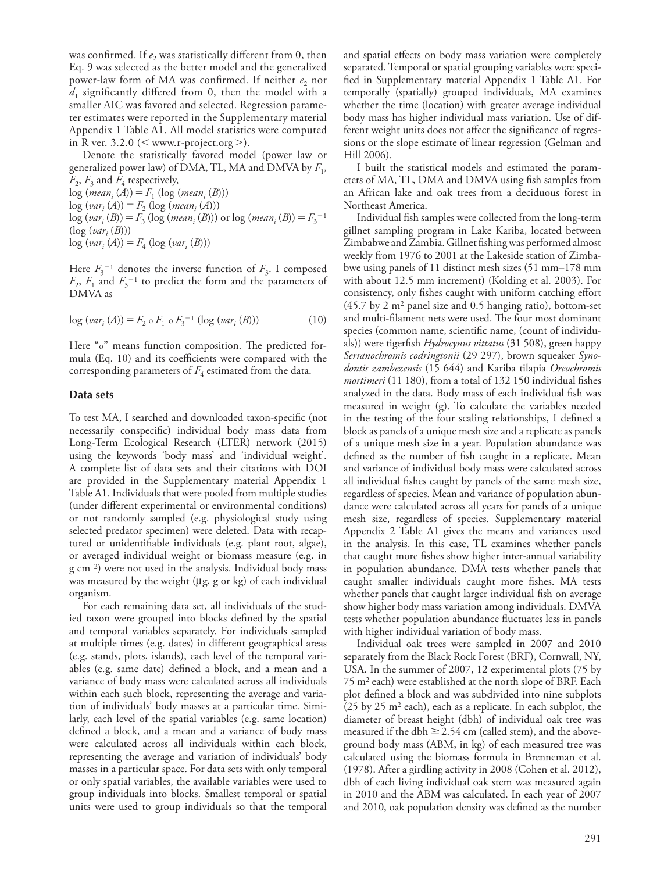was confirmed. If  $e_2$  was statistically different from 0, then Eq. 9 was selected as the better model and the generalized power-law form of MA was confirmed. If neither  $e_2$  nor  $d_1$  significantly differed from 0, then the model with a smaller AIC was favored and selected. Regression parameter estimates were reported in the Supplementary material Appendix 1 Table A1. All model statistics were computed in R ver. 3.2.0 ( $\leq$  www.r-project.org $>$ ).

Denote the statistically favored model (power law or generalized power law) of DMA, TL, MA and DMVA by *F*1,  $F_2$ ,  $F_3$  and  $F_4$  respectively,  $log (mean_i(A)) = F_1 (log (mean_i(B)))$  $log (var_i(A)) = F_2 (log (mean_i(A)))$  $log (var_i(B)) = F_3 (log (mean_i(B)))$  or  $log (mean_i(B)) = F_3^{-1}$  $(log (var<sub>i</sub> (B)))$ 

 $log (var_i(A)) = F_4 (log (var_i(B)))$ 

Here  $F_3$ <sup>-1</sup> denotes the inverse function of  $F_3$ . I composed  $F_2$ ,  $F_1$  and  $F_3$ <sup>-1</sup> to predict the form and the parameters of DMVA as

$$
\log (var_i(A)) = F_2 \circ F_1 \circ F_3^{-1} (\log (var_i(B))) \tag{10}
$$

Here "o" means function composition. The predicted formula (Eq. 10) and its coefficients were compared with the corresponding parameters of  $F_4$  estimated from the data.

#### **Data sets**

To test MA, I searched and downloaded taxon-specific (not necessarily conspecific) individual body mass data from Long-Term Ecological Research (LTER) network (2015) using the keywords 'body mass' and 'individual weight'. A complete list of data sets and their citations with DOI are provided in the Supplementary material Appendix 1 Table A1. Individuals that were pooled from multiple studies (under different experimental or environmental conditions) or not randomly sampled (e.g. physiological study using selected predator specimen) were deleted. Data with recaptured or unidentifiable individuals (e.g. plant root, algae), or averaged individual weight or biomass measure (e.g. in g cm–2) were not used in the analysis. Individual body mass was measured by the weight  $(\mu g, g \text{ or } kg)$  of each individual organism.

For each remaining data set, all individuals of the studied taxon were grouped into blocks defined by the spatial and temporal variables separately. For individuals sampled at multiple times (e.g. dates) in different geographical areas (e.g. stands, plots, islands), each level of the temporal variables (e.g. same date) defined a block, and a mean and a variance of body mass were calculated across all individuals within each such block, representing the average and variation of individuals' body masses at a particular time. Similarly, each level of the spatial variables (e.g. same location) defined a block, and a mean and a variance of body mass were calculated across all individuals within each block, representing the average and variation of individuals' body masses in a particular space. For data sets with only temporal or only spatial variables, the available variables were used to group individuals into blocks. Smallest temporal or spatial units were used to group individuals so that the temporal and spatial effects on body mass variation were completely separated. Temporal or spatial grouping variables were specified in Supplementary material Appendix 1 Table A1. For temporally (spatially) grouped individuals, MA examines whether the time (location) with greater average individual body mass has higher individual mass variation. Use of different weight units does not affect the significance of regressions or the slope estimate of linear regression (Gelman and Hill 2006).

I built the statistical models and estimated the parameters of MA, TL, DMA and DMVA using fish samples from an African lake and oak trees from a deciduous forest in Northeast America.

Individual fish samples were collected from the long-term gillnet sampling program in Lake Kariba, located between Zimbabwe and Zambia. Gillnet fishing was performed almost weekly from 1976 to 2001 at the Lakeside station of Zimbabwe using panels of 11 distinct mesh sizes (51 mm–178 mm with about 12.5 mm increment) (Kolding et al. 2003). For consistency, only fishes caught with uniform catching effort  $(45.7 \text{ by } 2 \text{ m}^2 \text{ panel size and } 0.5 \text{ hanging ratio})$ , bottom-set and multi-filament nets were used. The four most dominant species (common name, scientific name, (count of individuals)) were tigerfish *Hydrocynus vittatus* (31 508), green happy *Serranochromis codringtonii* (29 297), brown squeaker *Synodontis zambezensis* (15 644) and Kariba tilapia *Oreochromis mortimeri* (11 180), from a total of 132 150 individual fishes analyzed in the data. Body mass of each individual fish was measured in weight (g). To calculate the variables needed in the testing of the four scaling relationships, I defined a block as panels of a unique mesh size and a replicate as panels of a unique mesh size in a year. Population abundance was defined as the number of fish caught in a replicate. Mean and variance of individual body mass were calculated across all individual fishes caught by panels of the same mesh size, regardless of species. Mean and variance of population abundance were calculated across all years for panels of a unique mesh size, regardless of species. Supplementary material Appendix 2 Table A1 gives the means and variances used in the analysis. In this case, TL examines whether panels that caught more fishes show higher inter-annual variability in population abundance. DMA tests whether panels that caught smaller individuals caught more fishes. MA tests whether panels that caught larger individual fish on average show higher body mass variation among individuals. DMVA tests whether population abundance fluctuates less in panels with higher individual variation of body mass.

Individual oak trees were sampled in 2007 and 2010 separately from the Black Rock Forest (BRF), Cornwall, NY, USA. In the summer of 2007, 12 experimental plots (75 by 75 m2 each) were established at the north slope of BRF. Each plot defined a block and was subdivided into nine subplots (25 by 25  $m<sup>2</sup>$  each), each as a replicate. In each subplot, the diameter of breast height (dbh) of individual oak tree was measured if the dbh  $\geq$  2.54 cm (called stem), and the aboveground body mass (ABM, in kg) of each measured tree was calculated using the biomass formula in Brenneman et al. (1978). After a girdling activity in 2008 (Cohen et al. 2012), dbh of each living individual oak stem was measured again in 2010 and the ABM was calculated. In each year of 2007 and 2010, oak population density was defined as the number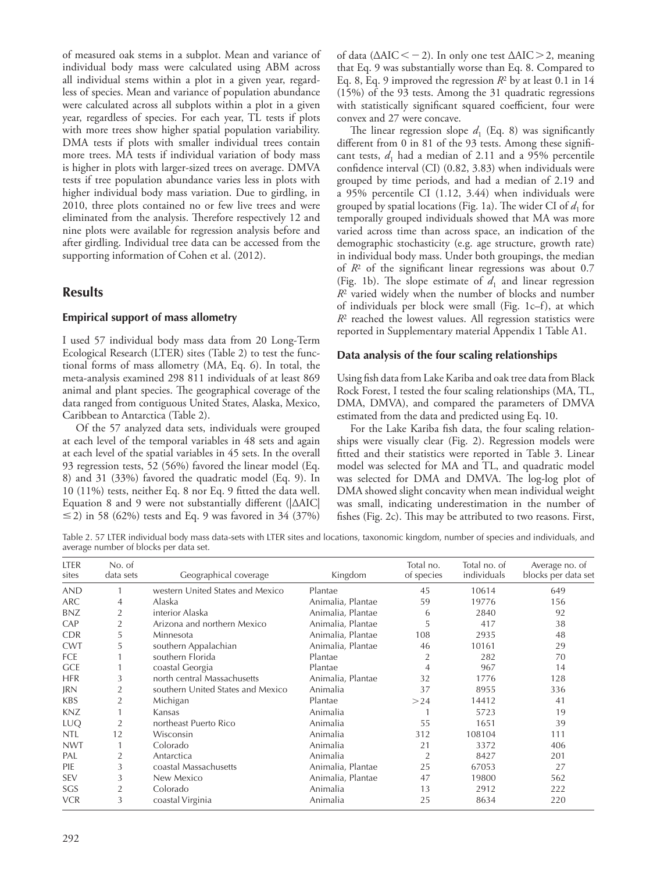of measured oak stems in a subplot. Mean and variance of individual body mass were calculated using ABM across all individual stems within a plot in a given year, regardless of species. Mean and variance of population abundance were calculated across all subplots within a plot in a given year, regardless of species. For each year, TL tests if plots with more trees show higher spatial population variability. DMA tests if plots with smaller individual trees contain more trees. MA tests if individual variation of body mass is higher in plots with larger-sized trees on average. DMVA tests if tree population abundance varies less in plots with higher individual body mass variation. Due to girdling, in 2010, three plots contained no or few live trees and were eliminated from the analysis. Therefore respectively 12 and nine plots were available for regression analysis before and after girdling. Individual tree data can be accessed from the supporting information of Cohen et al. (2012).

## **Results**

### **Empirical support of mass allometry**

I used 57 individual body mass data from 20 Long-Term Ecological Research (LTER) sites (Table 2) to test the functional forms of mass allometry (MA, Eq. 6). In total, the meta-analysis examined 298 811 individuals of at least 869 animal and plant species. The geographical coverage of the data ranged from contiguous United States, Alaska, Mexico, Caribbean to Antarctica (Table 2).

Of the 57 analyzed data sets, individuals were grouped at each level of the temporal variables in 48 sets and again at each level of the spatial variables in 45 sets. In the overall 93 regression tests, 52 (56%) favored the linear model (Eq. 8) and 31 (33%) favored the quadratic model (Eq. 9). In 10 (11%) tests, neither Eq. 8 nor Eq. 9 fitted the data well. Equation 8 and 9 were not substantially different (|∆AIC|  $\leq$  2) in 58 (62%) tests and Eq. 9 was favored in 34 (37%)

of data ( $\triangle$ AIC $\le$ −2). In only one test  $\triangle$ AIC $>$ 2, meaning that Eq. 9 was substantially worse than Eq. 8. Compared to Eq. 8, Eq. 9 improved the regression *R*2 by at least 0.1 in 14 (15%) of the 93 tests. Among the 31 quadratic regressions with statistically significant squared coefficient, four were convex and 27 were concave.

The linear regression slope  $d_1$  (Eq. 8) was significantly different from 0 in 81 of the 93 tests. Among these significant tests,  $d_1$  had a median of 2.11 and a 95% percentile confidence interval (CI) (0.82, 3.83) when individuals were grouped by time periods, and had a median of 2.19 and a 95% percentile CI (1.12, 3.44) when individuals were grouped by spatial locations (Fig. 1a). The wider CI of  $d_1$  for temporally grouped individuals showed that MA was more varied across time than across space, an indication of the demographic stochasticity (e.g. age structure, growth rate) in individual body mass. Under both groupings, the median of *R*2 of the significant linear regressions was about 0.7 (Fig. 1b). The slope estimate of  $d_1$  and linear regression *R*2 varied widely when the number of blocks and number of individuals per block were small (Fig. 1c–f), at which *R*2 reached the lowest values. All regression statistics were reported in Supplementary material Appendix 1 Table A1.

#### **Data analysis of the four scaling relationships**

Using fish data from Lake Kariba and oak tree data from Black Rock Forest, I tested the four scaling relationships (MA, TL, DMA, DMVA), and compared the parameters of DMVA estimated from the data and predicted using Eq. 10.

For the Lake Kariba fish data, the four scaling relationships were visually clear (Fig. 2). Regression models were fitted and their statistics were reported in Table 3. Linear model was selected for MA and TL, and quadratic model was selected for DMA and DMVA. The log-log plot of DMA showed slight concavity when mean individual weight was small, indicating underestimation in the number of fishes (Fig. 2c). This may be attributed to two reasons. First,

Table 2. 57 LTER individual body mass data-sets with LTER sites and locations, taxonomic kingdom, number of species and individuals, and average number of blocks per data set.

| LTER       | No. of         |                                   |                   | Total no.      | Total no. of | Average no. of      |
|------------|----------------|-----------------------------------|-------------------|----------------|--------------|---------------------|
| sites      | data sets      | Geographical coverage             | Kingdom           | of species     | individuals  | blocks per data set |
| <b>AND</b> |                | western United States and Mexico  | Plantae           | 45             | 10614        | 649                 |
| ARC        | 4              | Alaska                            | Animalia, Plantae | 59             | 19776        | 156                 |
| <b>BNZ</b> | $\overline{2}$ | interior Alaska                   | Animalia, Plantae | 6              | 2840         | 92                  |
| CAP        | $\overline{2}$ | Arizona and northern Mexico       | Animalia, Plantae | 5              | 417          | 38                  |
| <b>CDR</b> | 5              | Minnesota                         | Animalia, Plantae | 108            | 2935         | 48                  |
| <b>CWT</b> | 5              | southern Appalachian              | Animalia, Plantae | 46             | 10161        | 29                  |
| <b>FCE</b> |                | southern Florida                  | Plantae           | 2              | 282          | 70                  |
| <b>GCE</b> |                | coastal Georgia                   | Plantae           | 4              | 967          | 14                  |
| <b>HFR</b> | 3              | north central Massachusetts       | Animalia, Plantae | 32             | 1776         | 128                 |
| <b>JRN</b> | $\overline{2}$ | southern United States and Mexico | Animalia          | 37             | 8955         | 336                 |
| <b>KBS</b> | $\overline{2}$ | Michigan                          | Plantae           | >24            | 14412        | 41                  |
| <b>KNZ</b> |                | Kansas                            | Animalia          |                | 5723         | 19                  |
| LUQ        | $\overline{2}$ | northeast Puerto Rico             | Animalia          | 55             | 1651         | 39                  |
| <b>NTL</b> | 12             | Wisconsin                         | Animalia          | 312            | 108104       | 111                 |
| <b>NWT</b> |                | Colorado                          | Animalia          | 21             | 3372         | 406                 |
| PAL        | $\overline{2}$ | Antarctica                        | Animalia          | $\overline{2}$ | 8427         | 201                 |
| PIE        | 3              | coastal Massachusetts             | Animalia, Plantae | 25             | 67053        | 27                  |
| <b>SEV</b> | 3              | New Mexico                        | Animalia, Plantae | 47             | 19800        | 562                 |
| SGS        | $\overline{2}$ | Colorado                          | Animalia          | 13             | 2912         | 222                 |
| <b>VCR</b> | 3              | coastal Virginia                  | Animalia          | 25             | 8634         | 220                 |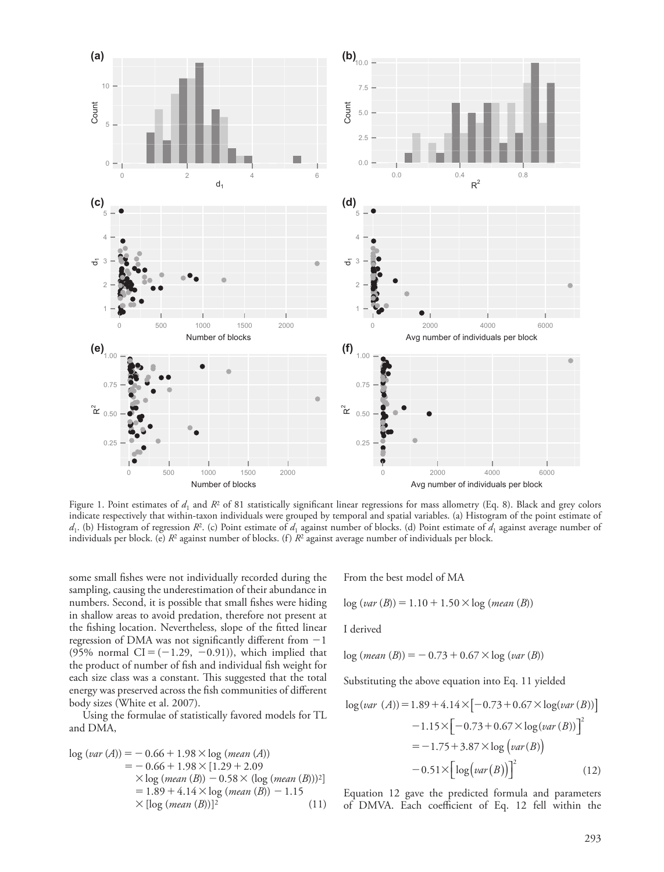

Figure 1. Point estimates of  $d_1$  and  $R^2$  of 81 statistically significant linear regressions for mass allometry (Eq. 8). Black and grey colors indicate respectively that within-taxon individuals were grouped by temporal and spatial variables. (a) Histogram of the point estimate of *d*<sub>1</sub>. (b) Histogram of regression *R*<sup>2</sup>. (c) Point estimate of *d*<sub>1</sub> against number of blocks. (d) Point estimate of *d*<sub>1</sub> against average number of individuals per block. (e) *R*2 against number of blocks. (f) *R*2 against average number of individuals per block.

some small fishes were not individually recorded during the sampling, causing the underestimation of their abundance in numbers. Second, it is possible that small fishes were hiding in shallow areas to avoid predation, therefore not present at the fishing location. Nevertheless, slope of the fitted linear regression of DMA was not significantly different from  $-1$ (95% normal  $CI = (-1.29, -0.91)$ ), which implied that the product of number of fish and individual fish weight for each size class was a constant. This suggested that the total energy was preserved across the fish communities of different body sizes (White et al. 2007).

Using the formulae of statistically favored models for TL and DMA,

$$
log (var (A)) = -0.66 + 1.98 \times log (mean (A))
$$
  
= -0.66 + 1.98 \times [1.29 + 2.09  

$$
\times log (mean (B)) - 0.58 \times (log (mean (B)))^{2}]
$$
  
= 1.89 + 4.14 \times log (mean (B)) - 1.15  

$$
\times [log (mean (B))]^{2}
$$
(11)

From the best model of MA

$$
log (var (B)) = 1.10 + 1.50 \times log (mean (B))
$$

I derived

 $log (mean (B)) = -0.73 + 0.67 \times log (var (B))$ 

Substituting the above equation into Eq. 11 yielded

$$
\log(var (A)) = 1.89 + 4.14 \times [-0.73 + 0.67 \times \log(var (B))]
$$

$$
-1.15 \times [-0.73 + 0.67 \times \log(var (B))]^{2}
$$

$$
= -1.75 + 3.87 \times \log (var (B))
$$

$$
-0.51 \times [\log(var (B))]^{2}
$$
(12)

Equation 12 gave the predicted formula and parameters of DMVA. Each coefficient of Eq. 12 fell within the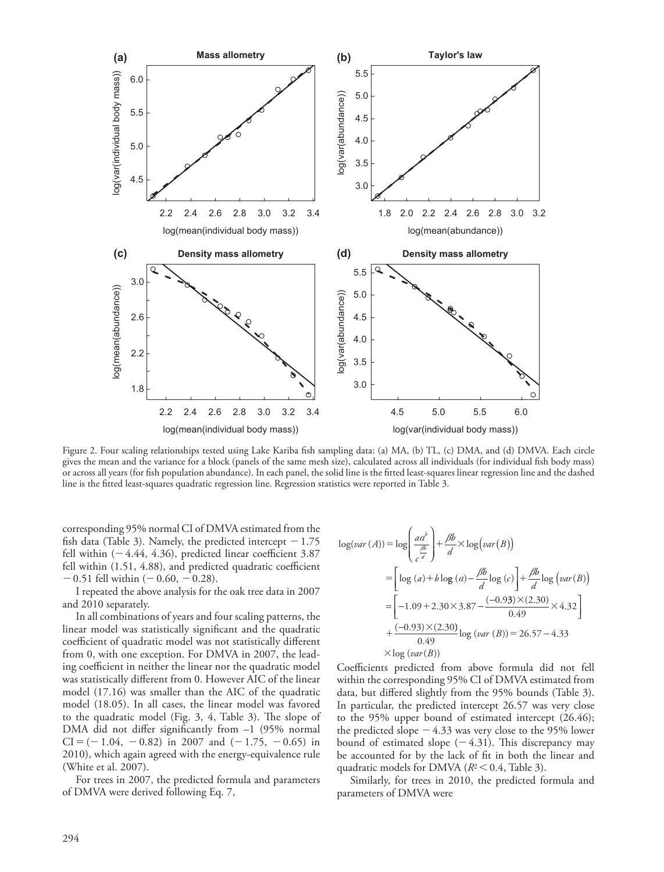

Figure 2. Four scaling relationships tested using Lake Kariba fish sampling data: (a) MA, (b) TL, (c) DMA, and (d) DMVA. Each circle gives the mean and the variance for a block (panels of the same mesh size), calculated across all individuals (for individual fish body mass) or across all years (for fish population abundance). In each panel, the solid line is the fitted least-squares linear regression line and the dashed line is the fitted least-squares quadratic regression line. Regression statistics were reported in Table 3.

corresponding 95% normal CI of DMVA estimated from the fish data (Table 3). Namely, the predicted intercept  $-1.75$ fell within  $(-4.44, 4.36)$ , predicted linear coefficient 3.87 fell within (1.51, 4.88), and predicted quadratic coefficient  $-0.51$  fell within  $(-0.60, -0.28)$ .

I repeated the above analysis for the oak tree data in 2007 and 2010 separately.

In all combinations of years and four scaling patterns, the linear model was statistically significant and the quadratic coefficient of quadratic model was not statistically different from 0, with one exception. For DMVA in 2007, the leading coefficient in neither the linear nor the quadratic model was statistically different from 0. However AIC of the linear model (17.16) was smaller than the AIC of the quadratic model (18.05). In all cases, the linear model was favored to the quadratic model (Fig. 3, 4, Table 3). The slope of DMA did not differ significantly from –1 (95% normal  $CI = ($  $- 1.04, -0.82)$  in 2007 and  $($  $- 1.75, -0.65)$  in 2010), which again agreed with the energy-equivalence rule (White et al. 2007).

For trees in 2007, the predicted formula and parameters of DMVA were derived following Eq. 7,

$$
log(var(A)) = log\left(\frac{aa^b}{c^{\frac{b}{d}}}\right) + \frac{\beta b}{d} \times log(var(B))
$$
  
= 
$$
\left[log (a) + b log (a) - \frac{\beta b}{d} log (c)\right] + \frac{\beta b}{d} log (var(B))
$$
  
= 
$$
\left[-1.09 + 2.30 \times 3.87 - \frac{(-0.93) \times (2.30)}{0.49} \times 4.32\right]
$$
  
+ 
$$
\frac{(-0.93) \times (2.30)}{0.49} log (var(B)) = 26.57 - 4.33
$$
  

$$
\times log (var(B))
$$

Coefficients predicted from above formula did not fell within the corresponding 95% CI of DMVA estimated from data, but differed slightly from the 95% bounds (Table 3). In particular, the predicted intercept 26.57 was very close to the 95% upper bound of estimated intercept (26.46); the predicted slope  $-4.33$  was very close to the 95% lower bound of estimated slope  $(-4.31)$ . This discrepancy may be accounted for by the lack of fit in both the linear and quadratic models for DMVA  $(R^2 < 0.4$ , Table 3).

Similarly, for trees in 2010, the predicted formula and parameters of DMVA were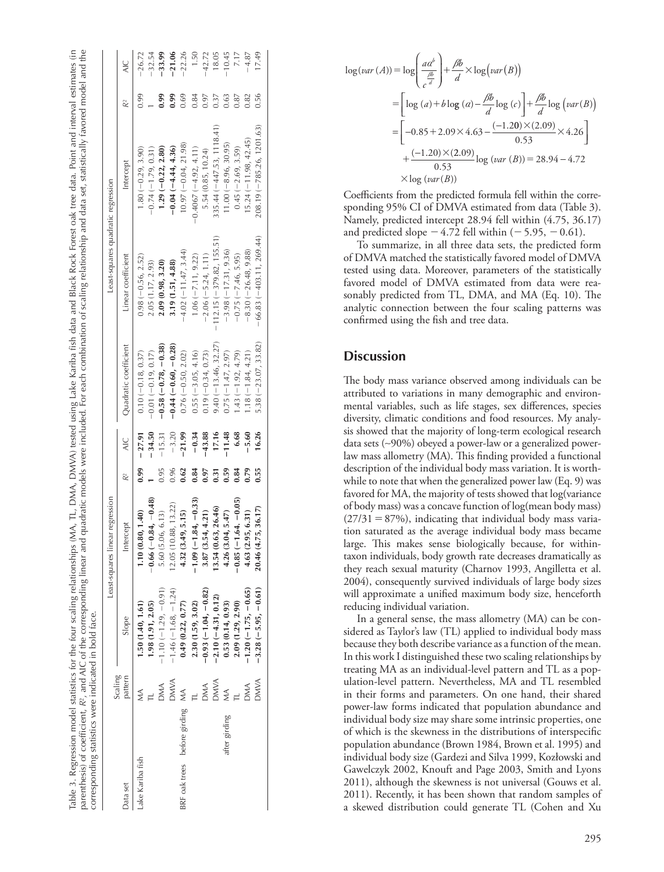| č                               | Š<br>ׇ֧֦֦֦֦֦֦֦֦֦֦֦֧ׅ֝֝֜           |  |
|---------------------------------|-----------------------------------|--|
| へんきょう つうこうこう                    |                                   |  |
|                                 | $\frac{1}{2}$                     |  |
| ׇ֧֚֕                            |                                   |  |
| $\frac{1}{2}$                   |                                   |  |
|                                 |                                   |  |
|                                 | and set child its the the cit.    |  |
| Icumpli put tripp ctch dat view |                                   |  |
| こくいいいき                          |                                   |  |
| -<br><<br><                     |                                   |  |
| $\frac{1}{2}$                   |                                   |  |
| $\overline{a}$                  |                                   |  |
|                                 |                                   |  |
| a Kariba tich data anı          |                                   |  |
|                                 |                                   |  |
|                                 |                                   |  |
| $\frac{1}{2}$                   |                                   |  |
|                                 | ミミミ                               |  |
| $-20.40$                        | 医腹股沟 医腹股沟 医心室                     |  |
|                                 |                                   |  |
|                                 |                                   |  |
| ׇ֚֚֬֕                           | くろ こうきょう                          |  |
| $\vdots$                        | くこく                               |  |
|                                 | S                                 |  |
|                                 |                                   |  |
| i                               |                                   |  |
| i                               | Ì                                 |  |
| i<br><                          |                                   |  |
| $-10+10+10+10+10+10$            | $\frac{1}{\zeta}$                 |  |
|                                 |                                   |  |
| j                               |                                   |  |
| $\ddot{\phantom{a}}$            | $ 2 - 1 - 1 - 1 - 1 = 1 - 1$<br>j |  |
| .<br>.<br>.                     |                                   |  |
|                                 | .<br>.<br>.                       |  |
|                                 | Ì<br>I                            |  |

|                                 | Scaling -                 |                         | Least-squares linear regression |      |          |                        | Least-squares quadratic regression |                               |                |          |
|---------------------------------|---------------------------|-------------------------|---------------------------------|------|----------|------------------------|------------------------------------|-------------------------------|----------------|----------|
| Data set                        | pattern                   | Slope                   | Intercept                       |      | √C       | Quadratic coefficient  | Linear coefficient                 | Intercept                     | R <sup>2</sup> |          |
| Lake Kariba fish                | ≸                         | 1.50(1.40, 1.61)        | 1.10(0.80, 1.40)                | 0.99 | $-27.91$ | $0.10 (-0.18, 0.37)$   | $0.98(-0.56, 2.52)$                | $1.80(-0.29, 3.90)$           | 0.99           | 26.72    |
|                                 |                           | 1.98(1.91, 2.05)        | $0.66(-0.84,-0.48)$             |      | $-34.50$ | $-0.01(-0.19, 0.17)$   | 2.05 (1.17, 2.93)                  | $-0.74(-1.79, 0.31)$          |                | $-32.54$ |
|                                 | <b>DMC</b>                | $-1.10(-1.29, -0.91)$   | 5.60 (5.06, 6.13)               | 0.95 | $-15.31$ | $-0.58(-0.78,-0.38)$   | 2.09(0.98, 3.20)                   | $1.29(-0.22, 2.80)$           | 0.99           | $-33.99$ |
|                                 | <b>DMVA</b>               | $-1.46(-1.68, -1.24)$   | 12.05(10.88, 13.22)             | 0.96 | $-3.20$  | $-0.44 (-0.60, -0.28)$ | 3.19(1.51, 4.88)                   | $-0.04(-4.44, 4.36)$          | 0.99           | $-21.06$ |
| BRF oak trees before girding MA |                           | 0.49(0.22, 0.77)        | 4.32 (3.49, 5.15)               | 0.62 | $-21.99$ | $0.76(-0.50, 2.02)$    | $-4.02(-11.47, 3.44)$              | $10.97 (-0.04, 21.98)$        | 0.69           | $-22.26$ |
|                                 |                           | 2.30 (1.59, 3.02)       | $1.09(-1.84,-0.33)$             | 0.84 | $-0.34$  | $0.55(-3.05, 4.16)$    | $1.06(-7.11, 9.22)$                | $-0.4067(-4.92, 4.11)$        | 0.84           | 1.50     |
|                                 | DMA                       | $-0.93(-1.04, -0.82)$   | 3.87(3.54, 4.21)                | 0.97 | $-43.88$ | $0.19 (-0.34, 0.73)$   | $-2.06(-5.24, 1.11)$               | 5.54 (0.85, 10.24)            | 0.97           | $-42.72$ |
|                                 | <b>DMVA</b>               | $-2.10(-4.31, 0.12)$    | 13.54 (0.63, 26.46)             | 0.31 | 17.16    | $9.40 (-13.46, 32.27)$ | $-112.15 (-379.82, 155.51)$        | $335.44 (-447.53, 1118.41)$   | 0.37           | 18.05    |
| after girding                   | $\widetilde{\mathcal{E}}$ | 0.53(0.14, 0.93)        | 4.26(3.04, 5.47)                | 0.59 | $-11.48$ | $0.75(-1.47, 2.97)$    | $-3.98(-17.31, 9.36)$              | $11.00 (-8.96, 30.95)$        | 0.63           | $-10.45$ |
|                                 |                           | 2.09 (1.29, 2.90)       | $-0.85(-1.64. -0.05)$           | 0.84 | 6.68     | $1.43 (-1.92, 4.79)$   | $-0.75(-7.46, 5.95)$               | $0.45 (-2.69, 3.59)$          | 0.87           | 7.17     |
|                                 | <b>DMA</b>                | $(1.20 (-1.75, -0.65))$ | 4.63 (2.95, 6.31)               | 0.79 | $-5.60$  | $1.18(-1.84, 4.21)$    | $-8.30(-26.48, 9.88)$              | $15.24(-11.98, 42.45)$        | 0.82           | $-4.87$  |
|                                 | <b>DMVA</b>               | $-3.28(-5.95, -0.61)$   | 20.46 (4.75, 36.17)             | 0.55 | 16.26    | $5.38 (-23.07, 33.82)$ | $-66.83(-403.11, 269.44)$          | 208.19 ( $-785.26$ , 1201.63) | 0.56           | 17.49    |
|                                 |                           |                         |                                 |      |          |                        |                                    |                               |                |          |

$$
log(var(A)) = log\left(\frac{ad^b}{\frac{b}{c^d}}\right) + \frac{fb}{d} \times log(var(B))
$$
  
= 
$$
\left[log (a) + b log (a) - \frac{bb}{d} log (c)\right] + \frac{bb}{d} log (var(B))
$$
  
= 
$$
\left[-0.85 + 2.09 \times 4.63 - \frac{(-1.20) \times (2.09)}{0.53} \times 4.26\right]
$$
  
+ 
$$
\frac{(-1.20) \times (2.09)}{0.53} log (var(B)) = 28.94 - 4.72
$$
  

$$
\times log (var(B))
$$

Coefficients from the predicted formula fell within the corre sponding 95% CI of DMVA estimated from data (Table 3). Namely, predicted intercept 28.94 fell within (4.75, 36.17) and predicted slope  $-4.72$  fell within  $(-5.95, -0.61)$ .

To summarize, in all three data sets, the predicted form of DMVA matched the statistically favored model of DMVA tested using data. Moreover, parameters of the statistically favored model of DMVA estimated from data were rea sonably predicted from TL, DMA, and MA (Eq. 10). The analytic connection between the four scaling patterns was confirmed using the fish and tree data.

# **Discussion**

The body mass variance observed among individuals can be attributed to variations in many demographic and environ mental variables, such as life stages, sex differences, species diversity, climatic conditions and food resources. My analy sis showed that the majority of long-term ecological research data sets ( ∼90%) obeyed a power-law or a generalized powerlaw mass allometry (MA). This finding provided a functional description of the individual body mass variation. It is worth while to note that when the generalized power law (Eq. 9) was favored for MA, the majority of tests showed that log(variance of body mass) was a concave function of log(mean body mass) (27/31 87%), indicating that individual body mass varia tion saturated as the average individual body mass became large. This makes sense biologically because, for withintaxon individuals, body growth rate decreases dramatically as they reach sexual maturity (Charnov 1993, Angilletta et al. 2004), consequently survived individuals of large body sizes will approximate a unified maximum body size, henceforth reducing individual variation.

In a general sense, the mass allometry (MA) can be con sidered as Taylor's law (TL) applied to individual body mass because they both describe variance as a function of the mean. In this work I distinguished these two scaling relationships by treating MA as an individual-level pattern and TL as a pop ulation-level pattern. Nevertheless, MA and TL resembled in their forms and parameters. On one hand, their shared power-law forms indicated that population abundance and individual body size may share some intrinsic properties, one of which is the skewness in the distributions of interspecific population abundance (Brown 1984, Brown et al. 1995) and individual body size (Gardezi and Silva 1999, Kozłowski and Gawelczyk 2002, Knouft and Page 2003, Smith and Lyons 2011), although the skewness is not universal (Gouws et al. 2011). Recently, it has been shown that random samples of a skewed distribution could generate TL (Cohen and Xu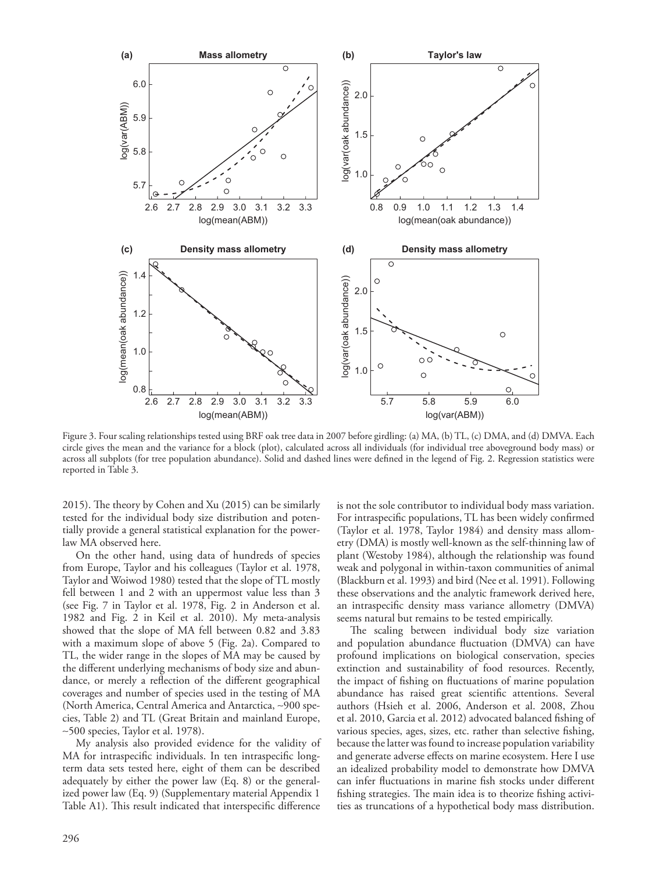

Figure 3. Four scaling relationships tested using BRF oak tree data in 2007 before girdling: (a) MA, (b) TL, (c) DMA, and (d) DMVA. Each circle gives the mean and the variance for a block (plot), calculated across all individuals (for individual tree aboveground body mass) or across all subplots (for tree population abundance). Solid and dashed lines were defined in the legend of Fig. 2. Regression statistics were reported in Table 3.

2015). The theory by Cohen and Xu (2015) can be similarly tested for the individual body size distribution and potentially provide a general statistical explanation for the powerlaw MA observed here.

On the other hand, using data of hundreds of species from Europe, Taylor and his colleagues (Taylor et al. 1978, Taylor and Woiwod 1980) tested that the slope of TL mostly fell between 1 and 2 with an uppermost value less than 3 (see Fig. 7 in Taylor et al. 1978, Fig. 2 in Anderson et al. 1982 and Fig. 2 in Keil et al. 2010). My meta-analysis showed that the slope of MA fell between 0.82 and 3.83 with a maximum slope of above 5 (Fig. 2a). Compared to TL, the wider range in the slopes of MA may be caused by the different underlying mechanisms of body size and abundance, or merely a reflection of the different geographical coverages and number of species used in the testing of MA (North America, Central America and Antarctica, ∼900 species, Table 2) and TL (Great Britain and mainland Europe, ∼500 species, Taylor et al. 1978).

My analysis also provided evidence for the validity of MA for intraspecific individuals. In ten intraspecific longterm data sets tested here, eight of them can be described adequately by either the power law (Eq. 8) or the generalized power law (Eq. 9) (Supplementary material Appendix 1 Table A1). This result indicated that interspecific difference is not the sole contributor to individual body mass variation. For intraspecific populations, TL has been widely confirmed (Taylor et al. 1978, Taylor 1984) and density mass allometry (DMA) is mostly well-known as the self-thinning law of plant (Westoby 1984), although the relationship was found weak and polygonal in within-taxon communities of animal (Blackburn et al. 1993) and bird (Nee et al. 1991). Following these observations and the analytic framework derived here, an intraspecific density mass variance allometry (DMVA) seems natural but remains to be tested empirically.

The scaling between individual body size variation and population abundance fluctuation (DMVA) can have profound implications on biological conservation, species extinction and sustainability of food resources. Recently, the impact of fishing on fluctuations of marine population abundance has raised great scientific attentions. Several authors (Hsieh et al. 2006, Anderson et al. 2008, Zhou et al. 2010, Garcia et al. 2012) advocated balanced fishing of various species, ages, sizes, etc. rather than selective fishing, because the latter was found to increase population variability and generate adverse effects on marine ecosystem. Here I use an idealized probability model to demonstrate how DMVA can infer fluctuations in marine fish stocks under different fishing strategies. The main idea is to theorize fishing activities as truncations of a hypothetical body mass distribution.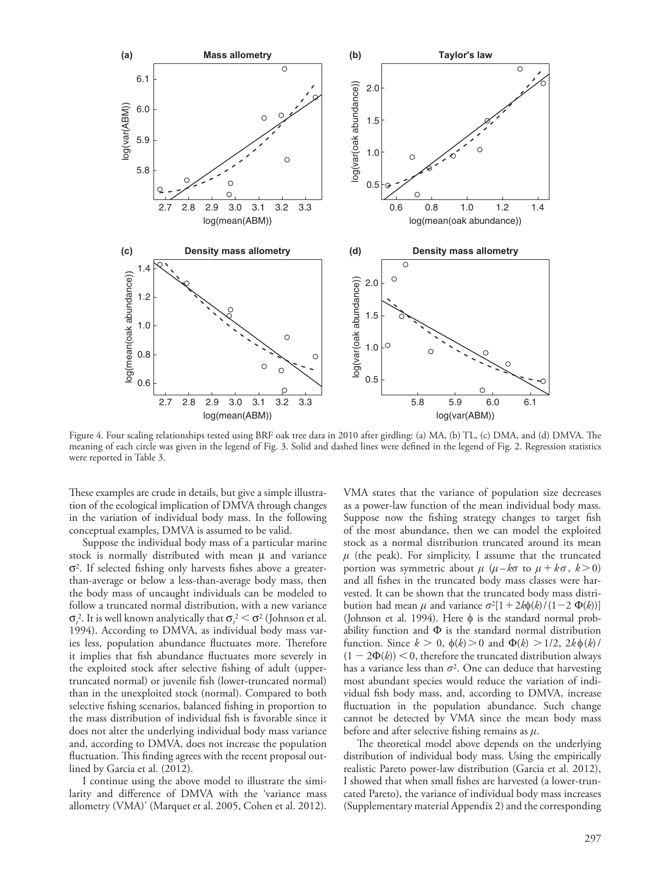

Figure 4. Four scaling relationships tested using BRF oak tree data in 2010 after girdling: (a) MA, (b) TL, (c) DMA, and (d) DMVA. The meaning of each circle was given in the legend of Fig. 3. Solid and dashed lines were defined in the legend of Fig. 2. Regression statistics were reported in Table 3.

These examples are crude in details, but give a simple illustration of the ecological implication of DMVA through changes in the variation of individual body mass. In the following conceptual examples, DMVA is assumed to be valid.

Suppose the individual body mass of a particular marine stock is normally distributed with mean  $\mu$  and variance  $\sigma^2$ . If selected fishing only harvests fishes above a greaterthan-average or below a less-than-average body mass, then the body mass of uncaught individuals can be modeled to follow a truncated normal distribution, with a new variance  $\sigma_t^2$ . It is well known analytically that  $\sigma_t^2 \leq \sigma^2$  (Johnson et al. 1994). According to DMVA, as individual body mass varies less, population abundance fluctuates more. Therefore it implies that fish abundance fluctuates more severely in the exploited stock after selective fishing of adult (uppertruncated normal) or juvenile fish (lower-truncated normal) than in the unexploited stock (normal). Compared to both selective fishing scenarios, balanced fishing in proportion to the mass distribution of individual fish is favorable since it does not alter the underlying individual body mass variance and, according to DMVA, does not increase the population fluctuation. This finding agrees with the recent proposal outlined by Garcia et al. (2012).

I continue using the above model to illustrate the similarity and difference of DMVA with the 'variance mass allometry (VMA)' (Marquet et al. 2005, Cohen et al. 2012).

VMA states that the variance of population size decreases as a power-law function of the mean individual body mass. Suppose now the fishing strategy changes to target fish of the most abundance, then we can model the exploited stock as a normal distribution truncated around its mean  $\mu$  (the peak). For simplicity, I assume that the truncated portion was symmetric about  $\mu$  ( $\mu - k\sigma$  to  $\mu + k\sigma$ ,  $k > 0$ ) and all fishes in the truncated body mass classes were harvested. It can be shown that the truncated body mass distribution had mean  $\mu$  and variance  $\sigma^2[1+2k\phi(k)/(1-2\Phi(k))]$ (Johnson et al. 1994). Here  $\phi$  is the standard normal probability function and  $\Phi$  is the standard normal distribution function. Since  $k > 0$ ,  $\phi(k) > 0$  and  $\Phi(k) > 1/2$ ,  $2k\phi(k)$  $(1 - 2\Phi(k))$  < 0, therefore the truncated distribution always has a variance less than  $\sigma^2$ . One can deduce that harvesting most abundant species would reduce the variation of individual fish body mass, and, according to DMVA, increase fluctuation in the population abundance. Such change cannot be detected by VMA since the mean body mass before and after selective fishing remains as *m*.

The theoretical model above depends on the underlying distribution of individual body mass. Using the empirically realistic Pareto power-law distribution (Garcia et al. 2012), I showed that when small fishes are harvested (a lower-truncated Pareto), the variance of individual body mass increases (Supplementary material Appendix 2) and the corresponding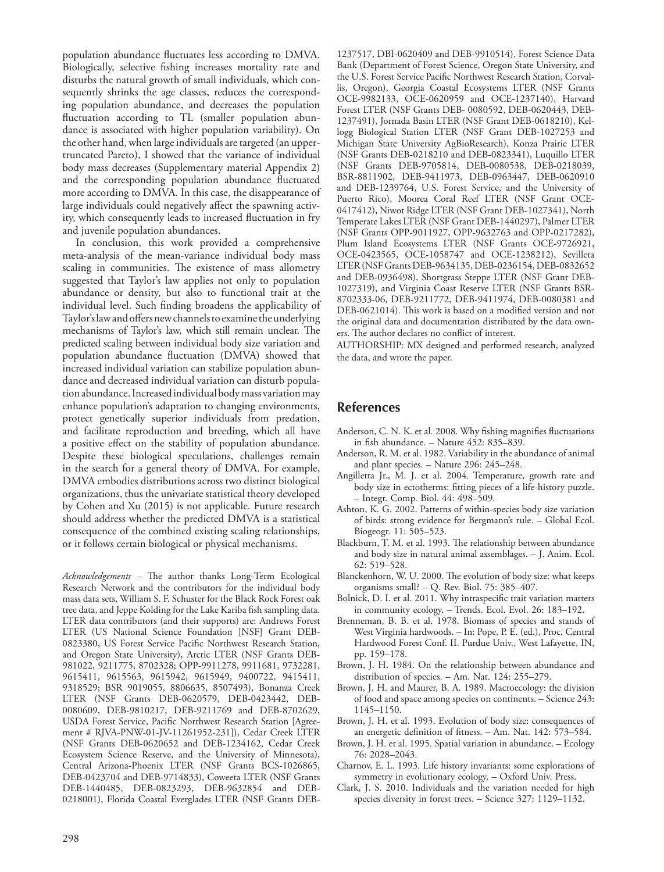population abundance fluctuates less according to DMVA. Biologically, selective fishing increases mortality rate and disturbs the natural growth of small individuals, which consequently shrinks the age classes, reduces the corresponding population abundance, and decreases the population fluctuation according to TL (smaller population abundance is associated with higher population variability). On the other hand, when large individuals are targeted (an uppertruncated Pareto), I showed that the variance of individual body mass decreases (Supplementary material Appendix 2) and the corresponding population abundance fluctuated more according to DMVA. In this case, the disappearance of large individuals could negatively affect the spawning activity, which consequently leads to increased fluctuation in fry and juvenile population abundances.

In conclusion, this work provided a comprehensive meta-analysis of the mean-variance individual body mass scaling in communities. The existence of mass allometry suggested that Taylor's law applies not only to population abundance or density, but also to functional trait at the individual level. Such finding broadens the applicability of Taylor's law and offers new channels to examine the underlying mechanisms of Taylor's law, which still remain unclear. The predicted scaling between individual body size variation and population abundance fluctuation (DMVA) showed that increased individual variation can stabilize population abundance and decreased individual variation can disturb population abundance. Increased individual body mass variation may enhance population's adaptation to changing environments, protect genetically superior individuals from predation, and facilitate reproduction and breeding, which all have a positive effect on the stability of population abundance. Despite these biological speculations, challenges remain in the search for a general theory of DMVA. For example, DMVA embodies distributions across two distinct biological organizations, thus the univariate statistical theory developed by Cohen and Xu (2015) is not applicable. Future research should address whether the predicted DMVA is a statistical consequence of the combined existing scaling relationships, or it follows certain biological or physical mechanisms.

*Acknowledgements –* The author thanks Long-Term Ecological Research Network and the contributors for the individual body mass data sets, William S. F. Schuster for the Black Rock Forest oak tree data, and Jeppe Kolding for the Lake Kariba fish sampling data. LTER data contributors (and their supports) are: Andrews Forest LTER (US National Science Foundation [NSF] Grant DEB-0823380, US Forest Service Pacific Northwest Research Station, and Oregon State University), Arctic LTER (NSF Grants DEB-981022, 9211775, 8702328; OPP-9911278, 9911681, 9732281, 9615411, 9615563, 9615942, 9615949, 9400722, 9415411, 9318529; BSR 9019055, 8806635, 8507493), Bonanza Creek LTER (NSF Grants DEB-0620579, DEB-0423442, DEB-0080609, DEB-9810217, DEB-9211769 and DEB-8702629, USDA Forest Service, Pacific Northwest Research Station [Agreement # RJVA-PNW-01-JV-11261952-231]), Cedar Creek LTER (NSF Grants DEB-0620652 and DEB-1234162, Cedar Creek Ecosystem Science Reserve, and the University of Minnesota), Central Arizona-Phoenix LTER (NSF Grants BCS-1026865, DEB-0423704 and DEB-9714833), Coweeta LTER (NSF Grants DEB-1440485, DEB-0823293, DEB-9632854 and DEB-0218001), Florida Coastal Everglades LTER (NSF Grants DEB-

1237517, DBI-0620409 and DEB-9910514), Forest Science Data Bank (Department of Forest Science, Oregon State University, and the U.S. Forest Service Pacific Northwest Research Station, Corvallis, Oregon), Georgia Coastal Ecosystems LTER (NSF Grants OCE-9982133, OCE-0620959 and OCE-1237140), Harvard Forest LTER (NSF Grants DEB- 0080592, DEB-0620443, DEB-1237491), Jornada Basin LTER (NSF Grant DEB-0618210), Kellogg Biological Station LTER (NSF Grant DEB-1027253 and Michigan State University AgBioResearch), Konza Prairie LTER (NSF Grants DEB-0218210 and DEB-0823341), Luquillo LTER (NSF Grants DEB-9705814, DEB-0080538, DEB-0218039, BSR-8811902, DEB-9411973, DEB-0963447, DEB-0620910 and DEB-1239764, U.S. Forest Service, and the University of Puerto Rico), Moorea Coral Reef LTER (NSF Grant OCE-0417412), Niwot Ridge LTER (NSF Grant DEB-1027341), North Temperate Lakes LTER (NSF Grant DEB-1440297), Palmer LTER (NSF Grants OPP-9011927, OPP-9632763 and OPP-0217282), Plum Island Ecosystems LTER (NSF Grants OCE-9726921, OCE-0423565, OCE-1058747 and OCE-1238212), Sevilleta LTER (NSF Grants DEB-9634135, DEB-0236154, DEB-0832652 and DEB-0936498), Shortgrass Steppe LTER (NSF Grant DEB-1027319), and Virginia Coast Reserve LTER (NSF Grants BSR-8702333-06, DEB-9211772, DEB-9411974, DEB-0080381 and DEB-0621014). This work is based on a modified version and not the original data and documentation distributed by the data owners. The author declares no conflict of interest.

AUTHORSHIP: MX designed and performed research, analyzed the data, and wrote the paper.

## **References**

- Anderson, C. N. K. et al. 2008. Why fishing magnifies fluctuations in fish abundance. – Nature 452: 835–839.
- Anderson, R. M. et al. 1982. Variability in the abundance of animal and plant species. – Nature 296: 245–248.
- Angilletta Jr., M. J. et al. 2004. Temperature, growth rate and body size in ectotherms: fitting pieces of a life-history puzzle. – Integr. Comp. Biol. 44: 498–509.
- Ashton, K. G. 2002. Patterns of within-species body size variation of birds: strong evidence for Bergmann's rule. – Global Ecol. Biogeogr. 11: 505–523.
- Blackburn, T. M. et al. 1993. The relationship between abundance and body size in natural animal assemblages. – J. Anim. Ecol. 62: 519–528.
- Blanckenhorn, W. U. 2000. The evolution of body size: what keeps organisms small? – Q. Rev. Biol. 75: 385–407.
- Bolnick, D. I. et al. 2011. Why intraspecific trait variation matters in community ecology. – Trends. Ecol. Evol. 26: 183–192.
- Brenneman, B. B. et al. 1978. Biomass of species and stands of West Virginia hardwoods. – In: Pope, P. E. (ed.), Proc. Central Hardwood Forest Conf. II. Purdue Univ., West Lafayette, IN, pp. 159–178.
- Brown, J. H. 1984. On the relationship between abundance and distribution of species. – Am. Nat. 124: 255–279.
- Brown, J. H. and Maurer, B. A. 1989. Macroecology: the division of food and space among species on continents. – Science 243: 1145–1150.
- Brown, J. H. et al. 1993. Evolution of body size: consequences of an energetic definition of fitness. – Am. Nat. 142: 573–584.
- Brown, J. H. et al. 1995. Spatial variation in abundance. Ecology 76: 2028–2043.
- Charnov, E. L. 1993. Life history invariants: some explorations of symmetry in evolutionary ecology. – Oxford Univ. Press.
- Clark, J. S. 2010. Individuals and the variation needed for high species diversity in forest trees. – Science 327: 1129–1132.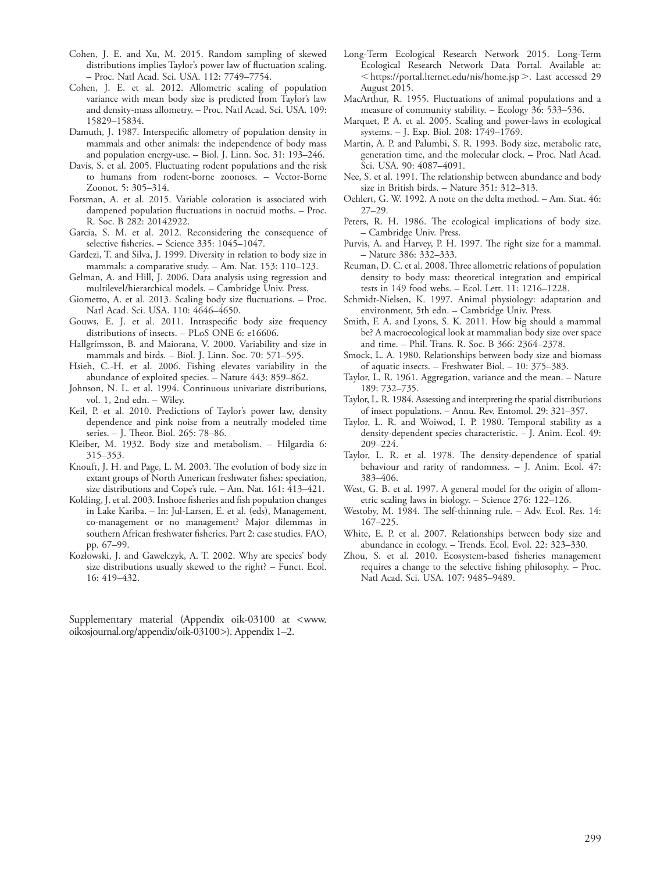- Cohen, J. E. and Xu, M. 2015. Random sampling of skewed distributions implies Taylor's power law of fluctuation scaling. – Proc. Natl Acad. Sci. USA. 112: 7749–7754.
- Cohen, J. E. et al. 2012. Allometric scaling of population variance with mean body size is predicted from Taylor's law and density-mass allometry. – Proc. Natl Acad. Sci. USA. 109: 15829–15834.
- Damuth, J. 1987. Interspecific allometry of population density in mammals and other animals: the independence of body mass and population energy-use. – Biol. J. Linn. Soc. 31: 193–246.
- Davis, S. et al. 2005. Fluctuating rodent populations and the risk to humans from rodent-borne zoonoses. – Vector-Borne Zoonot. 5: 305–314.
- Forsman, A. et al. 2015. Variable coloration is associated with dampened population fluctuations in noctuid moths. – Proc. R. Soc. B 282: 20142922.
- Garcia, S. M. et al. 2012. Reconsidering the consequence of selective fisheries. – Science 335: 1045–1047.
- Gardezi, T. and Silva, J. 1999. Diversity in relation to body size in mammals: a comparative study. – Am. Nat. 153: 110–123.
- Gelman, A. and Hill, J. 2006. Data analysis using regression and multilevel/hierarchical models. – Cambridge Univ. Press.
- Giometto, A. et al. 2013. Scaling body size fluctuations. Proc. Natl Acad. Sci. USA. 110: 4646–4650.
- Gouws, E. J. et al. 2011. Intraspecific body size frequency distributions of insects. – PLoS ONE 6: e16606.
- Hallgrímsson, B. and Maiorana, V. 2000. Variability and size in mammals and birds. – Biol. J. Linn. Soc. 70: 571–595.
- Hsieh, C.-H. et al. 2006. Fishing elevates variability in the abundance of exploited species. – Nature 443: 859–862.
- Johnson, N. L. et al. 1994. Continuous univariate distributions, vol. 1, 2nd edn. – Wiley.
- Keil, P. et al. 2010. Predictions of Taylor's power law, density dependence and pink noise from a neutrally modeled time series. – J. Theor. Biol. 265: 78–86.
- Kleiber, M. 1932. Body size and metabolism. Hilgardia 6: 315–353.
- Knouft, J. H. and Page, L. M. 2003. The evolution of body size in extant groups of North American freshwater fishes: speciation, size distributions and Cope's rule. - Am. Nat. 161: 413-421.
- Kolding, J. et al. 2003. Inshore fisheries and fish population changes in Lake Kariba. – In: Jul-Larsen, E. et al. (eds), Management, co-management or no management? Major dilemmas in southern African freshwater fisheries. Part 2: case studies. FAO, pp. 67–99.
- Kozłowski, J. and Gawelczyk, A. T. 2002. Why are species' body size distributions usually skewed to the right? – Funct. Ecol. 16: 419–432.

Supplementary material (Appendix oik-03100 at <www. oikosjournal.org/appendix/oik-03100>). Appendix 1–2.

- Long-Term Ecological Research Network 2015. Long-Term Ecological Research Network Data Portal. Available at: <https://portal.lternet.edu/nis/home.jsp>. Last accessed 29 August 2015.
- MacArthur, R. 1955. Fluctuations of animal populations and a measure of community stability. – Ecology 36: 533–536.
- Marquet, P. A. et al. 2005. Scaling and power-laws in ecological systems. – J. Exp. Biol. 208: 1749–1769.
- Martin, A. P. and Palumbi, S. R. 1993. Body size, metabolic rate, generation time, and the molecular clock. – Proc. Natl Acad. Sci. USA. 90: 4087–4091.
- Nee, S. et al. 1991. The relationship between abundance and body size in British birds. – Nature 351: 312–313.
- Oehlert, G. W. 1992. A note on the delta method. Am. Stat. 46:  $27-29$
- Peters, R. H. 1986. The ecological implications of body size. – Cambridge Univ. Press.
- Purvis, A. and Harvey, P. H. 1997. The right size for a mammal. – Nature 386: 332–333.
- Reuman, D. C. et al. 2008. Three allometric relations of population density to body mass: theoretical integration and empirical tests in 149 food webs. – Ecol. Lett. 11: 1216–1228.
- Schmidt-Nielsen, K. 1997. Animal physiology: adaptation and environment, 5th edn. – Cambridge Univ. Press.
- Smith, F. A. and Lyons, S. K. 2011. How big should a mammal be? A macroecological look at mammalian body size over space and time. – Phil. Trans. R. Soc. B 366: 2364–2378.
- Smock, L. A. 1980. Relationships between body size and biomass of aquatic insects. – Freshwater Biol. – 10: 375–383.
- Taylor, L. R. 1961. Aggregation, variance and the mean. Nature 189: 732–735.
- Taylor, L. R. 1984. Assessing and interpreting the spatial distributions of insect populations. – Annu. Rev. Entomol. 29: 321–357.
- Taylor, L. R. and Woiwod, I. P. 1980. Temporal stability as a density-dependent species characteristic. – J. Anim. Ecol. 49: 209–224.
- Taylor, L. R. et al. 1978. The density-dependence of spatial behaviour and rarity of randomness. – J. Anim. Ecol. 47: 383–406.
- West, G. B. et al. 1997. A general model for the origin of allometric scaling laws in biology. – Science 276: 122–126.
- Westoby, M. 1984. The self-thinning rule. Adv. Ecol. Res. 14: 167–225.
- White, E. P. et al. 2007. Relationships between body size and abundance in ecology. – Trends. Ecol. Evol. 22: 323–330.
- Zhou, S. et al. 2010. Ecosystem-based fisheries management requires a change to the selective fishing philosophy. – Proc. Natl Acad. Sci. USA. 107: 9485–9489.